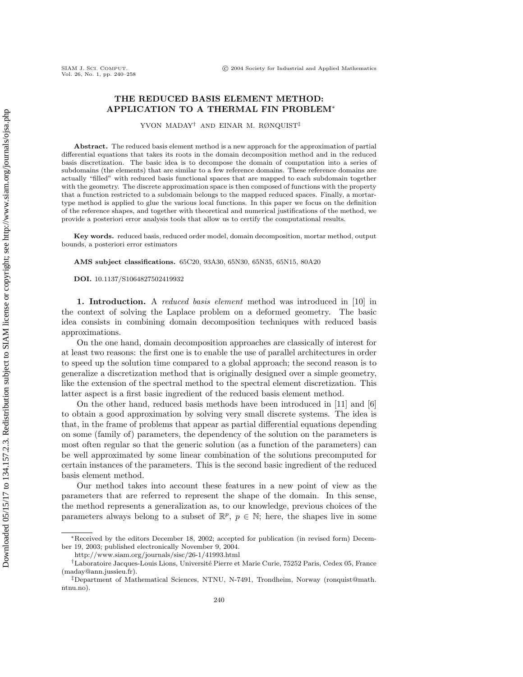## **THE REDUCED BASIS ELEMENT METHOD: APPLICATION TO A THERMAL FIN PROBLEM**∗

YVON MADAY† AND EINAR M. RØNQUIST‡

**Abstract.** The reduced basis element method is a new approach for the approximation of partial differential equations that takes its roots in the domain decomposition method and in the reduced basis discretization. The basic idea is to decompose the domain of computation into a series of subdomains (the elements) that are similar to a few reference domains. These reference domains are actually "filled" with reduced basis functional spaces that are mapped to each subdomain together with the geometry. The discrete approximation space is then composed of functions with the property that a function restricted to a subdomain belongs to the mapped reduced spaces. Finally, a mortartype method is applied to glue the various local functions. In this paper we focus on the definition of the reference shapes, and together with theoretical and numerical justifications of the method, we provide a posteriori error analysis tools that allow us to certify the computational results.

**Key words.** reduced basis, reduced order model, domain decomposition, mortar method, output bounds, a posteriori error estimators

**AMS subject classifications.** 65C20, 93A30, 65N30, 65N35, 65N15, 80A20

**DOI.** 10.1137/S1064827502419932

**1. Introduction.** A reduced basis element method was introduced in [10] in the context of solving the Laplace problem on a deformed geometry. The basic idea consists in combining domain decomposition techniques with reduced basis approximations.

On the one hand, domain decomposition approaches are classically of interest for at least two reasons: the first one is to enable the use of parallel architectures in order to speed up the solution time compared to a global approach; the second reason is to generalize a discretization method that is originally designed over a simple geometry, like the extension of the spectral method to the spectral element discretization. This latter aspect is a first basic ingredient of the reduced basis element method.

On the other hand, reduced basis methods have been introduced in [11] and [6] to obtain a good approximation by solving very small discrete systems. The idea is that, in the frame of problems that appear as partial differential equations depending on some (family of) parameters, the dependency of the solution on the parameters is most often regular so that the generic solution (as a function of the parameters) can be well approximated by some linear combination of the solutions precomputed for certain instances of the parameters. This is the second basic ingredient of the reduced basis element method.

Our method takes into account these features in a new point of view as the parameters that are referred to represent the shape of the domain. In this sense, the method represents a generalization as, to our knowledge, previous choices of the parameters always belong to a subset of  $\mathbb{R}^p$ ,  $p \in \mathbb{N}$ ; here, the shapes live in some

<sup>∗</sup>Received by the editors December 18, 2002; accepted for publication (in revised form) December 19, 2003; published electronically November 9, 2004.

http://www.siam.org/journals/sisc/26-1/41993.html

<sup>†</sup>Laboratoire Jacques-Louis Lions, Universit´e Pierre et Marie Curie, 75252 Paris, Cedex 05, France (maday@ann.jussieu.fr).

<sup>‡</sup>Department of Mathematical Sciences, NTNU, N-7491, Trondheim, Norway (ronquist@math. ntnu.no).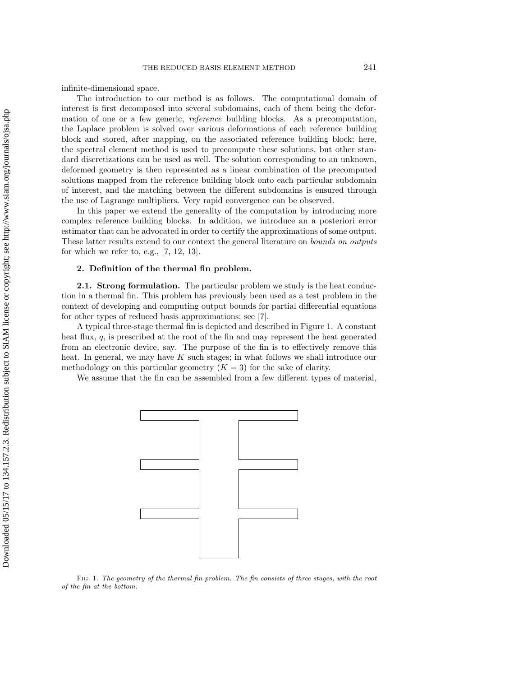infinite-dimensional space.

The introduction to our method is as follows. The computational domain of interest is first decomposed into several subdomains, each of them being the deformation of one or a few generic, reference building blocks. As a precomputation, the Laplace problem is solved over various deformations of each reference building block and stored, after mapping, on the associated reference building block; here, the spectral element method is used to precompute these solutions, but other standard discretizations can be used as well. The solution corresponding to an unknown, deformed geometry is then represented as a linear combination of the precomputed solutions mapped from the reference building block onto each particular subdomain of interest, and the matching between the different subdomains is ensured through the use of Lagrange multipliers. Very rapid convergence can be observed.

In this paper we extend the generality of the computation by introducing more complex reference building blocks. In addition, we introduce an a posteriori error estimator that can be advocated in order to certify the approximations of some output. These latter results extend to our context the general literature on bounds on outputs for which we refer to, e.g.,  $[7, 12, 13]$ .

## **2. Definition of the thermal fin problem.**

**2.1. Strong formulation.** The particular problem we study is the heat conduction in a thermal fin. This problem has previously been used as a test problem in the context of developing and computing output bounds for partial differential equations for other types of reduced basis approximations; see [7].

A typical three-stage thermal fin is depicted and described in Figure 1. A constant heat flux,  $q$ , is prescribed at the root of the fin and may represent the heat generated from an electronic device, say. The purpose of the fin is to effectively remove this heat. In general, we may have K such stages; in what follows we shall introduce our methodology on this particular geometry  $(K = 3)$  for the sake of clarity.

We assume that the fin can be assembled from a few different types of material,



Fig. 1. The geometry of the thermal fin problem. The fin consists of three stages, with the root of the fin at the bottom.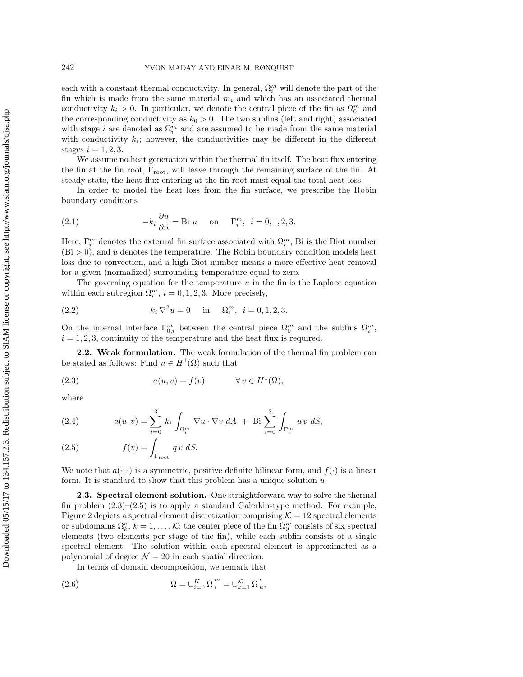each with a constant thermal conductivity. In general,  $\Omega_i^m$  will denote the part of the fin which is made from the same material  $m_i$  and which has an associated thermal conductivity  $k_i > 0$ . In particular, we denote the central piece of the fin as  $\Omega_0^m$  and the corresponding conductivity as  $k_0 > 0$ . The two subfins (left and right) associated with stage i are denoted as  $\Omega_i^m$  and are assumed to be made from the same material with conductivity  $k_i$ ; however, the conductivities may be different in the different stages  $i = 1, 2, 3$ .

We assume no heat generation within the thermal fin itself. The heat flux entering the fin at the fin root,  $\Gamma_{\text{root}}$ , will leave through the remaining surface of the fin. At steady state, the heat flux entering at the fin root must equal the total heat loss.

In order to model the heat loss from the fin surface, we prescribe the Robin boundary conditions

(2.1) 
$$
-k_i \frac{\partial u}{\partial n} = \text{Bi } u \quad \text{on} \quad \Gamma_i^m, \ i = 0, 1, 2, 3.
$$

Here,  $\Gamma_i^m$  denotes the external fin surface associated with  $\Omega_i^m$ , Bi is the Biot number  $(Bi > 0)$ , and u denotes the temperature. The Robin boundary condition models heat loss due to convection, and a high Biot number means a more effective heat removal for a given (normalized) surrounding temperature equal to zero.

The governing equation for the temperature  $u$  in the fin is the Laplace equation within each subregion  $\Omega_i^m$ ,  $i = 0, 1, 2, 3$ . More precisely,

(2.2) 
$$
k_i \nabla^2 u = 0
$$
 in  $\Omega_i^m$ ,  $i = 0, 1, 2, 3$ .

On the internal interface  $\Gamma_{0,i}^m$  between the central piece  $\Omega_0^m$  and the subfins  $\Omega_i^m$ ,  $i = 1, 2, 3$ , continuity of the temperature and the heat flux is required.

**2.2. Weak formulation.** The weak formulation of the thermal fin problem can be stated as follows: Find  $u \in H^1(\Omega)$  such that

(2.3) 
$$
a(u, v) = f(v) \qquad \forall v \in H^{1}(\Omega),
$$

where

(2.4) 
$$
a(u, v) = \sum_{i=0}^{3} k_i \int_{\Omega_i^m} \nabla u \cdot \nabla v \ dA + \text{Bi} \sum_{i=0}^{3} \int_{\Gamma_i^m} u v \ dS,
$$

(2.5) 
$$
f(v) = \int_{\Gamma_{\text{root}}} q v \ dS.
$$

We note that  $a(\cdot, \cdot)$  is a symmetric, positive definite bilinear form, and  $f(\cdot)$  is a linear form. It is standard to show that this problem has a unique solution  $u$ .

**2.3. Spectral element solution.** One straightforward way to solve the thermal fin problem  $(2.3)$ – $(2.5)$  is to apply a standard Galerkin-type method. For example, Figure 2 depicts a spectral element discretization comprising  $K = 12$  spectral elements or subdomains  $\Omega_k^e, k = 1, \ldots, \mathcal{K}$ ; the center piece of the fin  $\Omega_0^m$  consists of six spectral elements (two elements per stage of the fin), while each subfin consists of a single spectral element. The solution within each spectral element is approximated as a polynomial of degree  $\mathcal{N} = 20$  in each spatial direction.

In terms of domain decomposition, we remark that

(2.6) 
$$
\overline{\Omega} = \bigcup_{i=0}^{K} \overline{\Omega}_{i}^{m} = \bigcup_{k=1}^{K} \overline{\Omega}_{k}^{e},
$$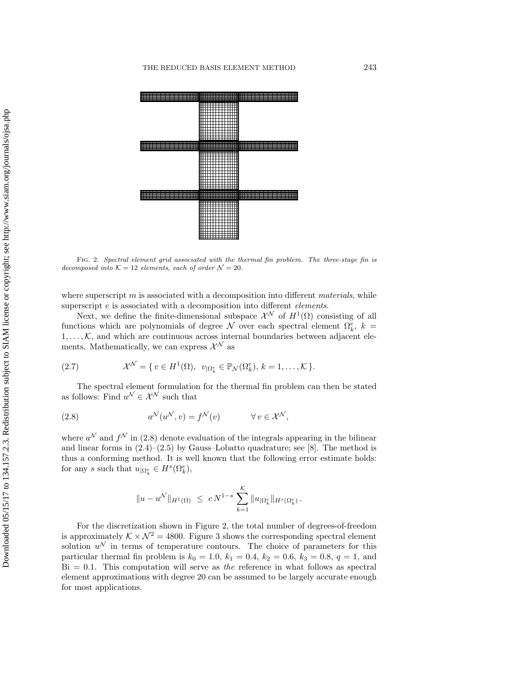

Fig. 2. Spectral element grid associated with the thermal fin problem. The three-stage fin is decomposed into  $K = 12$  elements, each of order  $\mathcal{N} = 20$ .

where superscript  $m$  is associated with a decomposition into different *materials*, while superscript  $e$  is associated with a decomposition into different *elements*.

Next, we define the finite-dimensional subspace  $\mathcal{X}^{\mathcal{N}}$  of  $H^{1}(\Omega)$  consisting of all functions which are polynomials of degree  $\mathcal N$  over each spectral element  $\Omega_k^e$ ,  $k =$  $1,\ldots,\mathcal{K}$ , and which are continuous across internal boundaries between adjacent elements. Mathematically, we can express  $\mathcal{X}^{\mathcal{N}}$  as

(2.7) 
$$
\mathcal{X}^{\mathcal{N}} = \{ v \in H^{1}(\Omega), v_{|\Omega_{k}^{e}} \in \mathbb{P}_{\mathcal{N}}(\Omega_{k}^{e}), k = 1, ..., \mathcal{K} \}.
$$

The spectral element formulation for the thermal fin problem can then be stated as follows: Find  $u^{\mathcal{N}} \in \mathcal{X}^{\mathcal{N}}$  such that

(2.8) 
$$
a^{\mathcal{N}}(u^{\mathcal{N}}, v) = f^{\mathcal{N}}(v) \qquad \forall v \in \mathcal{X}^{\mathcal{N}},
$$

where  $a^{\mathcal{N}}$  and  $f^{\mathcal{N}}$  in (2.8) denote evaluation of the integrals appearing in the bilinear and linear forms in  $(2.4)$ – $(2.5)$  by Gauss–Lobatto quadrature; see [8]. The method is thus a conforming method. It is well known that the following error estimate holds: for any s such that  $u_{\Omega_k^e} \in H^s(\Omega_k^e)$ ,

$$
||u - u^{\mathcal{N}}||_{H^1(\Omega)} \ \leq \ c \, N^{1-s} \, \sum_{k=1}^{\mathcal{K}} ||u_{|\Omega_k^e}||_{H^s(\Omega_k^e)} \, .
$$

For the discretization shown in Figure 2, the total number of degrees-of-freedom is approximately  $\mathcal{K} \times \mathcal{N}^2 = 4800$ . Figure 3 shows the corresponding spectral element solution  $u^{\mathcal{N}}$  in terms of temperature contours. The choice of parameters for this particular thermal fin problem is  $k_0 = 1.0, k_1 = 0.4, k_2 = 0.6, k_3 = 0.8, q = 1$ , and  $Bi = 0.1$ . This computation will serve as the reference in what follows as spectral element approximations with degree 20 can be assumed to be largely accurate enough for most applications.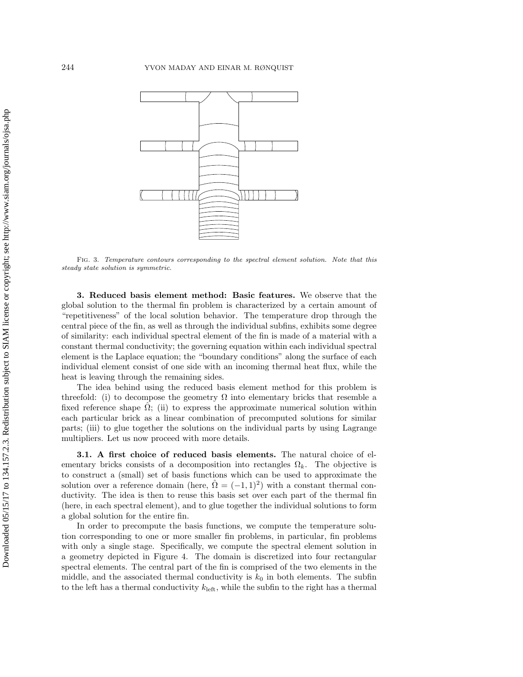

Fig. 3. Temperature contours corresponding to the spectral element solution. Note that this steady state solution is symmetric.

**3. Reduced basis element method: Basic features.** We observe that the global solution to the thermal fin problem is characterized by a certain amount of "repetitiveness" of the local solution behavior. The temperature drop through the central piece of the fin, as well as through the individual subfins, exhibits some degree of similarity: each individual spectral element of the fin is made of a material with a constant thermal conductivity; the governing equation within each individual spectral element is the Laplace equation; the "boundary conditions" along the surface of each individual element consist of one side with an incoming thermal heat flux, while the heat is leaving through the remaining sides.

The idea behind using the reduced basis element method for this problem is threefold: (i) to decompose the geometry  $\Omega$  into elementary bricks that resemble a fixed reference shape  $\Omega$ ; (ii) to express the approximate numerical solution within each particular brick as a linear combination of precomputed solutions for similar parts; (iii) to glue together the solutions on the individual parts by using Lagrange multipliers. Let us now proceed with more details.

**3.1. A first choice of reduced basis elements.** The natural choice of elementary bricks consists of a decomposition into rectangles  $\Omega_k$ . The objective is to construct a (small) set of basis functions which can be used to approximate the solution over a reference domain (here,  $\Omega = (-1, 1)^2$ ) with a constant thermal conductivity. The idea is then to reuse this basis set over each part of the thermal fin (here, in each spectral element), and to glue together the individual solutions to form a global solution for the entire fin.

In order to precompute the basis functions, we compute the temperature solution corresponding to one or more smaller fin problems, in particular, fin problems with only a single stage. Specifically, we compute the spectral element solution in a geometry depicted in Figure 4. The domain is discretized into four rectangular spectral elements. The central part of the fin is comprised of the two elements in the middle, and the associated thermal conductivity is  $k_0$  in both elements. The subfin to the left has a thermal conductivity  $k_{\text{left}}$ , while the subfin to the right has a thermal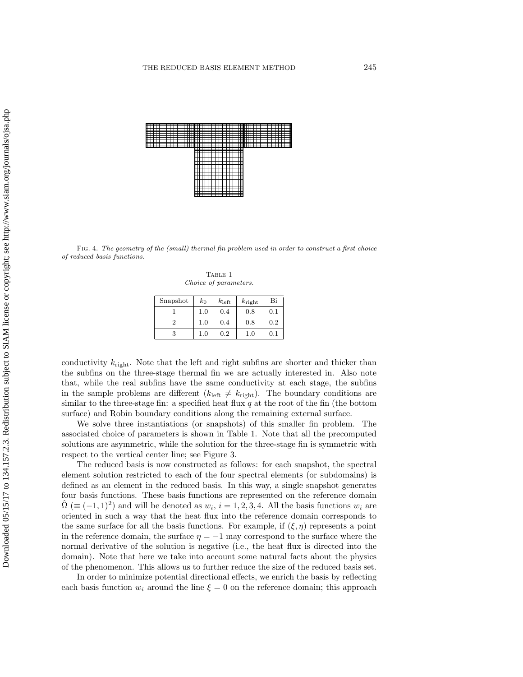

Fig. 4. The geometry of the (small) thermal fin problem used in order to construct a first choice of reduced basis functions.

TABLE 1 Choice of parameters.

| Snapshot       | $k_0$   | $k_{\mathrm{left}}$ | $k_{\rm right}$ | Bi      |
|----------------|---------|---------------------|-----------------|---------|
|                | 1.0     | 0.4                 | 0.8             | 0.1     |
| $\overline{2}$ | 1.0     | 0.4                 | 0.8             | 0.2     |
| 3              | $1.0\,$ | 0.2                 | $1.0\,$         | $0.1\,$ |

conductivity  $k_{\text{right}}$ . Note that the left and right subfins are shorter and thicker than the subfins on the three-stage thermal fin we are actually interested in. Also note that, while the real subfins have the same conductivity at each stage, the subfins in the sample problems are different ( $k_{\text{left}} \neq k_{\text{right}}$ ). The boundary conditions are similar to the three-stage fin: a specified heat flux  $q$  at the root of the fin (the bottom surface) and Robin boundary conditions along the remaining external surface.

We solve three instantiations (or snapshots) of this smaller fin problem. The associated choice of parameters is shown in Table 1. Note that all the precomputed solutions are asymmetric, while the solution for the three-stage fin is symmetric with respect to the vertical center line; see Figure 3.

The reduced basis is now constructed as follows: for each snapshot, the spectral element solution restricted to each of the four spectral elements (or subdomains) is defined as an element in the reduced basis. In this way, a single snapshot generates four basis functions. These basis functions are represented on the reference domain  $\Omega$  ( $\equiv (-1,1)^2$ ) and will be denoted as  $w_i$ ,  $i = 1, 2, 3, 4$ . All the basis functions  $w_i$  are oriented in such a way that the heat flux into the reference domain corresponds to the same surface for all the basis functions. For example, if  $(\xi, \eta)$  represents a point in the reference domain, the surface  $\eta = -1$  may correspond to the surface where the normal derivative of the solution is negative (i.e., the heat flux is directed into the domain). Note that here we take into account some natural facts about the physics of the phenomenon. This allows us to further reduce the size of the reduced basis set.

In order to minimize potential directional effects, we enrich the basis by reflecting each basis function  $w_i$  around the line  $\xi = 0$  on the reference domain; this approach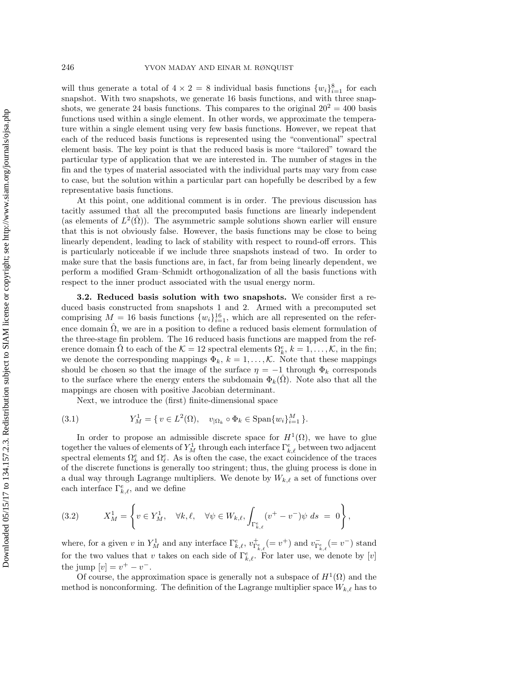will thus generate a total of  $4 \times 2 = 8$  individual basis functions  $\{w_i\}_{i=1}^8$  for each snapshot. With two snapshots, we generate 16 basis functions, and with three snapshots, we generate 24 basis functions. This compares to the original  $20^2 = 400$  basis functions used within a single element. In other words, we approximate the temperature within a single element using very few basis functions. However, we repeat that each of the reduced basis functions is represented using the "conventional" spectral element basis. The key point is that the reduced basis is more "tailored" toward the particular type of application that we are interested in. The number of stages in the fin and the types of material associated with the individual parts may vary from case to case, but the solution within a particular part can hopefully be described by a few representative basis functions.

At this point, one additional comment is in order. The previous discussion has tacitly assumed that all the precomputed basis functions are linearly independent (as elements of  $L^2(\hat{\Omega})$ ). The asymmetric sample solutions shown earlier will ensure that this is not obviously false. However, the basis functions may be close to being linearly dependent, leading to lack of stability with respect to round-off errors. This is particularly noticeable if we include three snapshots instead of two. In order to make sure that the basis functions are, in fact, far from being linearly dependent, we perform a modified Gram–Schmidt orthogonalization of all the basis functions with respect to the inner product associated with the usual energy norm.

**3.2. Reduced basis solution with two snapshots.** We consider first a reduced basis constructed from snapshots 1 and 2. Armed with a precomputed set comprising  $M = 16$  basis functions  $\{w_i\}_{i=1}^{16}$ , which are all represented on the reference domain  $\hat{\Omega}$ , we are in a position to define a reduced basis element formulation of the three-stage fin problem. The 16 reduced basis functions are mapped from the reference domain  $\hat{\Omega}$  to each of the  $\mathcal{K} = 12$  spectral elements  $\Omega_k^e$ ,  $k = 1, \ldots, \mathcal{K}$ , in the fin; we denote the corresponding mappings  $\Phi_k$ ,  $k = 1, \ldots, \mathcal{K}$ . Note that these mappings should be chosen so that the image of the surface  $\eta = -1$  through  $\Phi_k$  corresponds to the surface where the energy enters the subdomain  $\Phi_k(\hat{\Omega})$ . Note also that all the mappings are chosen with positive Jacobian determinant.

Next, we introduce the (first) finite-dimensional space

(3.1) 
$$
Y_M^1 = \{ v \in L^2(\Omega), \quad v_{|\Omega_k} \circ \Phi_k \in \text{Span}\{w_i\}_{i=1}^M \}.
$$

In order to propose an admissible discrete space for  $H^1(\Omega)$ , we have to glue together the values of elements of  $Y_M^1$  through each interface  $\Gamma_{k,\ell}^e$  between two adjacent spectral elements  $\Omega_k^e$  and  $\Omega_\ell^e$ . As is often the case, the exact coincidence of the traces of the discrete functions is generally too stringent; thus, the gluing process is done in a dual way through Lagrange multipliers. We denote by  $W_{k,\ell}$  a set of functions over each interface  $\Gamma_{k,\ell}^e$ , and we define

(3.2) 
$$
X_M^1 = \left\{ v \in Y_M^1, \quad \forall k, \ell, \quad \forall \psi \in W_{k,\ell}, \int_{\Gamma_{k,\ell}^e} (v^+ - v^-) \psi \, ds = 0 \right\},
$$

where, for a given v in  $Y_M^1$  and any interface  $\Gamma^e_{k,\ell}$ ,  $v_{\Gamma^e_{k,\ell}}^+(=v^+)$  and  $v_{\Gamma^e_{k,\ell}}^-(=v^-)$  stand for the two values that v takes on each side of  $\Gamma^e_{k,\ell}$ . For later use, we denote by  $[v]$ the jump  $[v] = v^+ - v^-$ .

Of course, the approximation space is generally not a subspace of  $H^1(\Omega)$  and the method is nonconforming. The definition of the Lagrange multiplier space  $W_{k,\ell}$  has to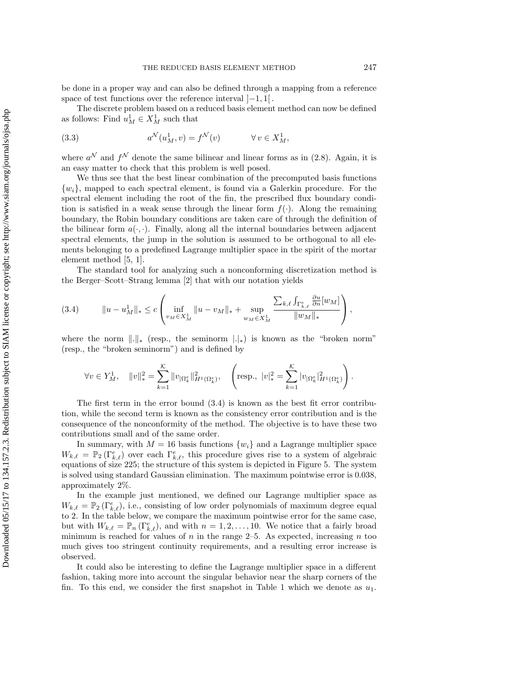be done in a proper way and can also be defined through a mapping from a reference space of test functions over the reference interval  $[-1, 1]$ .

The discrete problem based on a reduced basis element method can now be defined as follows: Find  $u_M^1 \in X_M^1$  such that

(3.3) 
$$
a^{\mathcal{N}}(u_M^1, v) = f^{\mathcal{N}}(v) \qquad \forall v \in X_M^1,
$$

where  $a^{\mathcal{N}}$  and  $f^{\mathcal{N}}$  denote the same bilinear and linear forms as in (2.8). Again, it is an easy matter to check that this problem is well posed.

We thus see that the best linear combination of the precomputed basis functions  $\{w_i\}$ , mapped to each spectral element, is found via a Galerkin procedure. For the spectral element including the root of the fin, the prescribed flux boundary condition is satisfied in a weak sense through the linear form  $f(.)$ . Along the remaining boundary, the Robin boundary conditions are taken care of through the definition of the bilinear form  $a(\cdot, \cdot)$ . Finally, along all the internal boundaries between adjacent spectral elements, the jump in the solution is assumed to be orthogonal to all elements belonging to a predefined Lagrange multiplier space in the spirit of the mortar element method [5, 1].

The standard tool for analyzing such a nonconforming discretization method is the Berger–Scott–Strang lemma [2] that with our notation yields

$$
(3.4) \t\t ||u - u_M^1||_* \leq c \left( \inf_{v_M \in X_M^1} ||u - v_M||_* + \sup_{w_M \in X_M^1} \frac{\sum_{k,\ell} \int_{\Gamma_{k,\ell}^e} \frac{\partial u}{\partial n} [w_M]}{||w_M||_*} \right),
$$

where the norm  $\|.\|_*$  (resp., the seminorm  $|.\|_*$ ) is known as the "broken norm" (resp., the "broken seminorm") and is defined by

$$
\forall v \in Y_M^1, \quad ||v||_*^2 = \sum_{k=1}^{\mathcal{K}} ||v_{|\Omega_k^e}||_{H^1(\Omega_k^e)}^2, \quad \left(\text{resp., } |v|_*^2 = \sum_{k=1}^{\mathcal{K}} |v_{|\Omega_k^e}||_{H^1(\Omega_k^e)}^2\right).
$$

The first term in the error bound (3.4) is known as the best fit error contribution, while the second term is known as the consistency error contribution and is the consequence of the nonconformity of the method. The objective is to have these two contributions small and of the same order.

In summary, with  $M = 16$  basis functions  $\{w_i\}$  and a Lagrange multiplier space  $W_{k,\ell} = \mathbb{P}_2(\Gamma^e_{k,\ell})$  over each  $\Gamma^e_{k,\ell}$ , this procedure gives rise to a system of algebraic equations of size 225; the structure of this system is depicted in Figure 5. The system is solved using standard Gaussian elimination. The maximum pointwise error is 0.038, approximately 2%.

In the example just mentioned, we defined our Lagrange multiplier space as  $W_{k,\ell} = \mathbb{P}_2(\Gamma^e_{k,\ell}),$  i.e., consisting of low order polynomials of maximum degree equal to 2. In the table below, we compare the maximum pointwise error for the same case, but with  $W_{k,\ell} = \mathbb{P}_n(\Gamma^e_{k,\ell}),$  and with  $n = 1, 2, ..., 10$ . We notice that a fairly broad minimum is reached for values of n in the range 2–5. As expected, increasing n too much gives too stringent continuity requirements, and a resulting error increase is observed.

It could also be interesting to define the Lagrange multiplier space in a different fashion, taking more into account the singular behavior near the sharp corners of the fin. To this end, we consider the first snapshot in Table 1 which we denote as  $u_1$ .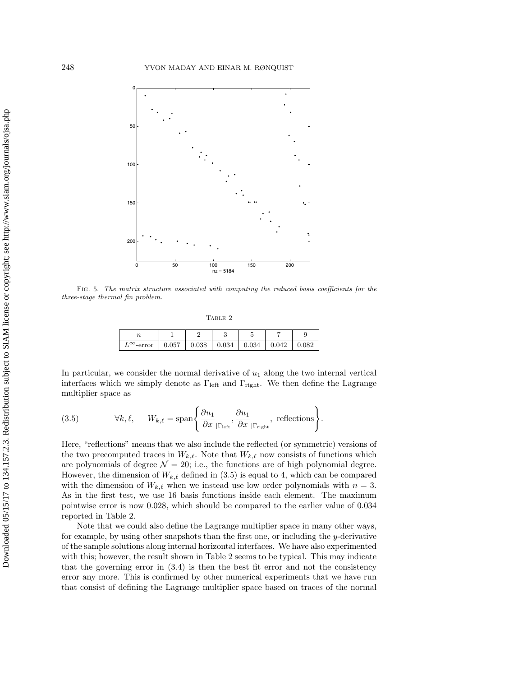

Fig. 5. The matrix structure associated with computing the reduced basis coefficients for the three-stage thermal fin problem.

| TABLE 2             |                                                                           |  |  |  |  |
|---------------------|---------------------------------------------------------------------------|--|--|--|--|
|                     |                                                                           |  |  |  |  |
| $L^{\infty}$ -error | $\vert 0.057 \vert 0.038 \vert 0.034 \vert 0.034 \vert 0.042 \vert 0.082$ |  |  |  |  |

In particular, we consider the normal derivative of  $u_1$  along the two internal vertical interfaces which we simply denote as  $\Gamma_{\text{left}}$  and  $\Gamma_{\text{right}}$ . We then define the Lagrange multiplier space as

(3.5) 
$$
\forall k, \ell, \qquad W_{k,\ell} = \text{span}\left\{\frac{\partial u_1}{\partial x}_{|\Gamma_{\text{left}}}, \frac{\partial u_1}{\partial x}_{|\Gamma_{\text{right}}}, \text{ reflections}\right\}.
$$

Here, "reflections" means that we also include the reflected (or symmetric) versions of the two precomputed traces in  $W_{k,\ell}$ . Note that  $W_{k,\ell}$  now consists of functions which are polynomials of degree  $\mathcal{N} = 20$ ; i.e., the functions are of high polynomial degree. However, the dimension of  $W_{k,\ell}$  defined in (3.5) is equal to 4, which can be compared with the dimension of  $W_{k,\ell}$  when we instead use low order polynomials with  $n = 3$ . As in the first test, we use 16 basis functions inside each element. The maximum pointwise error is now 0.028, which should be compared to the earlier value of 0.034 reported in Table 2.

Note that we could also define the Lagrange multiplier space in many other ways, for example, by using other snapshots than the first one, or including the y-derivative of the sample solutions along internal horizontal interfaces. We have also experimented with this; however, the result shown in Table 2 seems to be typical. This may indicate that the governing error in (3.4) is then the best fit error and not the consistency error any more. This is confirmed by other numerical experiments that we have run that consist of defining the Lagrange multiplier space based on traces of the normal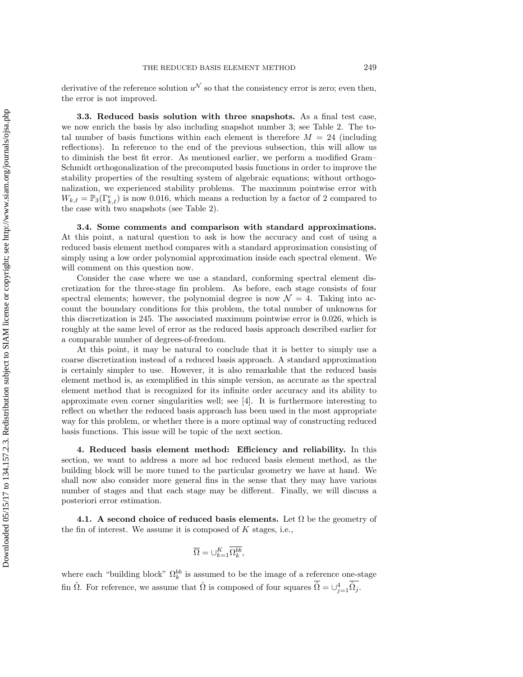derivative of the reference solution  $u^{\mathcal{N}}$  so that the consistency error is zero; even then, the error is not improved.

**3.3. Reduced basis solution with three snapshots.** As a final test case, we now enrich the basis by also including snapshot number 3; see Table 2. The total number of basis functions within each element is therefore  $M = 24$  (including reflections). In reference to the end of the previous subsection, this will allow us to diminish the best fit error. As mentioned earlier, we perform a modified Gram– Schmidt orthogonalization of the precomputed basis functions in order to improve the stability properties of the resulting system of algebraic equations; without orthogonalization, we experienced stability problems. The maximum pointwise error with  $W_{k,\ell} = \mathbb{P}_3(\Gamma_{k,\ell}^e)$  is now 0.016, which means a reduction by a factor of 2 compared to the case with two snapshots (see Table 2).

**3.4. Some comments and comparison with standard approximations.** At this point, a natural question to ask is how the accuracy and cost of using a reduced basis element method compares with a standard approximation consisting of simply using a low order polynomial approximation inside each spectral element. We will comment on this question now.

Consider the case where we use a standard, conforming spectral element discretization for the three-stage fin problem. As before, each stage consists of four spectral elements; however, the polynomial degree is now  $\mathcal{N} = 4$ . Taking into account the boundary conditions for this problem, the total number of unknowns for this discretization is 245. The associated maximum pointwise error is 0.026, which is roughly at the same level of error as the reduced basis approach described earlier for a comparable number of degrees-of-freedom.

At this point, it may be natural to conclude that it is better to simply use a coarse discretization instead of a reduced basis approach. A standard approximation is certainly simpler to use. However, it is also remarkable that the reduced basis element method is, as exemplified in this simple version, as accurate as the spectral element method that is recognized for its infinite order accuracy and its ability to approximate even corner singularities well; see [4]. It is furthermore interesting to reflect on whether the reduced basis approach has been used in the most appropriate way for this problem, or whether there is a more optimal way of constructing reduced basis functions. This issue will be topic of the next section.

**4. Reduced basis element method: Efficiency and reliability.** In this section, we want to address a more ad hoc reduced basis element method, as the building block will be more tuned to the particular geometry we have at hand. We shall now also consider more general fins in the sense that they may have various number of stages and that each stage may be different. Finally, we will discuss a posteriori error estimation.

**4.1.** A second choice of reduced basis elements. Let  $\Omega$  be the geometry of the fin of interest. We assume it is composed of  $K$  stages, i.e.,

$$
\overline{\Omega} = \cup_{k=1}^K \overline{\Omega_k^{bb}},
$$

where each "building block"  $\Omega_k^{bb}$  is assumed to be the image of a reference one-stage fin  $\hat{\Omega}$ . For reference, we assume that  $\hat{\Omega}$  is composed of four squares  $\hat{\Omega} = \cup_{j=1}^{4} \hat{\Omega}_{j}$ .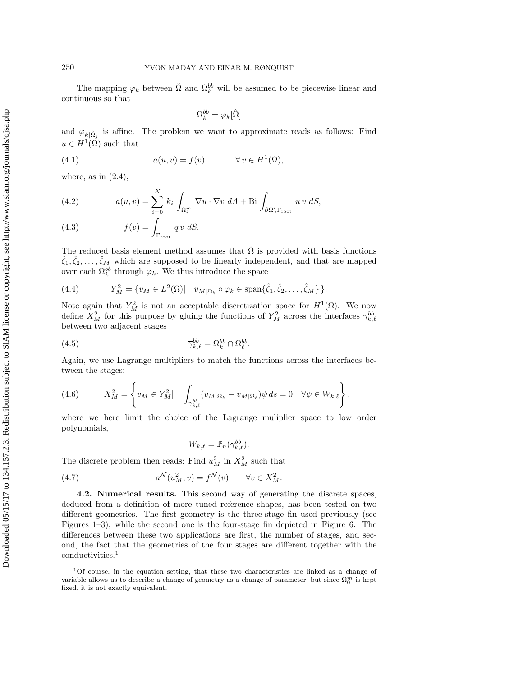The mapping  $\varphi_k$  between  $\hat{\Omega}$  and  $\Omega_k^{bb}$  will be assumed to be piecewise linear and continuous so that

$$
\Omega_k^{bb} = \varphi_k[\hat{\Omega}]
$$

and  $\varphi_{k|\hat{\Omega}_j}$  is affine. The problem we want to approximate reads as follows: Find  $u \in H^1(\Omega)$  such that

(4.1) 
$$
a(u, v) = f(v) \qquad \forall v \in H^{1}(\Omega),
$$

where, as in  $(2.4)$ ,

(4.2) 
$$
a(u, v) = \sum_{i=0}^{K} k_i \int_{\Omega_i^m} \nabla u \cdot \nabla v \ dA + \text{Bi} \int_{\partial \Omega \setminus \Gamma_{\text{root}}} u v \ dS,
$$

(4.3) 
$$
f(v) = \int_{\Gamma_{\text{root}}} q v \ dS.
$$

The reduced basis element method assumes that  $\hat{\Omega}$  is provided with basis functions  $\zeta_1, \zeta_2, \ldots, \zeta_M$  which are supposed to be linearly independent, and that are mapped over each  $\Omega_k^{bb}$  through  $\varphi_k$ . We thus introduce the space

(4.4) 
$$
Y_M^2 = \{ v_M \in L^2(\Omega) | \quad v_{M|\Omega_k} \circ \varphi_k \in \text{span}\{\hat{\zeta}_1, \hat{\zeta}_2, \dots, \hat{\zeta}_M\} \}.
$$

Note again that  $Y_M^2$  is not an acceptable discretization space for  $H^1(\Omega)$ . We now define  $X_M^2$  for this purpose by gluing the functions of  $Y_M^2$  across the interfaces  $\gamma_{k,\ell}^{bb}$ between two adjacent stages

(4.5) 
$$
\overline{\gamma}_{k,\ell}^{bb} = \overline{\Omega_k^{bb}} \cap \overline{\Omega_\ell^{bb}}.
$$

Again, we use Lagrange multipliers to match the functions across the interfaces between the stages:

(4.6) 
$$
X_M^2 = \left\{ v_M \in Y_M^2 \middle| \int_{\gamma_{k,\ell}^{bb}} (v_{M|\Omega_k} - v_{M|\Omega_\ell}) \psi \, ds = 0 \quad \forall \psi \in W_{k,\ell} \right\},
$$

where we here limit the choice of the Lagrange muliplier space to low order polynomials,

$$
W_{k,\ell} = \mathbb{P}_n(\gamma_{k,\ell}^{bb}).
$$

The discrete problem then reads: Find  $u_M^2$  in  $X_M^2$  such that

(4.7) 
$$
a^{\mathcal{N}}(u_M^2, v) = f^{\mathcal{N}}(v) \qquad \forall v \in X_M^2.
$$

**4.2. Numerical results.** This second way of generating the discrete spaces, deduced from a definition of more tuned reference shapes, has been tested on two different geometries. The first geometry is the three-stage fin used previously (see Figures 1–3); while the second one is the four-stage fin depicted in Figure 6. The differences between these two applications are first, the number of stages, and second, the fact that the geometries of the four stages are different together with the conductivities.<sup>1</sup>

<sup>1</sup>Of course, in the equation setting, that these two characteristics are linked as a change of variable allows us to describe a change of geometry as a change of parameter, but since  $\Omega_0^m$  is kept fixed, it is not exactly equivalent.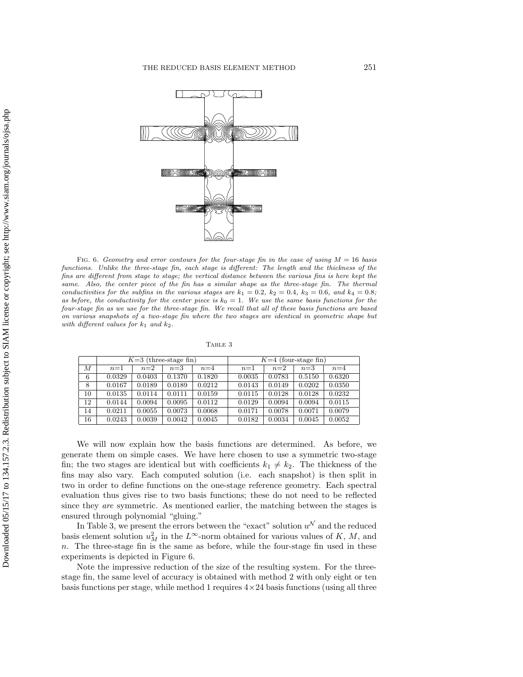

FIG. 6. Geometry and error contours for the four-stage fin in the case of using  $M = 16$  basis functions. Unlike the three-stage fin, each stage is different: The length and the thickness of the fins are different from stage to stage; the vertical distance between the various fins is here kept the same. Also, the center piece of the fin has a similar shape as the three-stage fin. The thermal conductivities for the subfins in the various stages are  $k_1 = 0.2$ ,  $k_2 = 0.4$ ,  $k_3 = 0.6$ , and  $k_4 = 0.8$ ; as before, the conductivity for the center piece is  $k_0 = 1$ . We use the same basis functions for the four-stage fin as we use for the three-stage fin. We recall that all of these basis functions are based on various snapshots of a two-stage fin where the two stages are identical in geometric shape but with different values for  $k_1$  and  $k_2$ .

| ١RΙ.<br>- |  |
|-----------|--|
|           |  |

|    | $K=3$ (three-stage fin) |        |        | $K=4$ (four-stage fin) |        |        |        |        |
|----|-------------------------|--------|--------|------------------------|--------|--------|--------|--------|
| М  | $n=1$                   | $n=2$  | $n=3$  | $n=4$                  | $n=1$  | $n=2$  | $n=3$  | $n=4$  |
| 6  | 0.0329                  | 0.0403 | 0.1370 | 0.1820                 | 0.0035 | 0.0783 | 0.5150 | 0.6320 |
| 8  | 0.0167                  | 0.0189 | 0.0189 | 0.0212                 | 0.0143 | 0.0149 | 0.0202 | 0.0350 |
| 10 | 0.0135                  | 0.0114 | 0.0111 | 0.0159                 | 0.0115 | 0.0128 | 0.0128 | 0.0232 |
| 12 | 0.0144                  | 0.0094 | 0.0095 | 0.0112                 | 0.0129 | 0.0094 | 0.0094 | 0.0115 |
| 14 | 0.0211                  | 0.0055 | 0.0073 | 0.0068                 | 0.0171 | 0.0078 | 0.0071 | 0.0079 |
| 16 | 0.0243                  | 0.0039 | 0.0042 | 0.0045                 | 0.0182 | 0.0034 | 0.0045 | 0.0052 |

We will now explain how the basis functions are determined. As before, we generate them on simple cases. We have here chosen to use a symmetric two-stage fin; the two stages are identical but with coefficients  $k_1 \neq k_2$ . The thickness of the fins may also vary. Each computed solution (i.e. each snapshot) is then split in two in order to define functions on the one-stage reference geometry. Each spectral evaluation thus gives rise to two basis functions; these do not need to be reflected since they are symmetric. As mentioned earlier, the matching between the stages is ensured through polynomial "gluing."

In Table 3, we present the errors between the "exact" solution  $u^{\mathcal{N}}$  and the reduced basis element solution  $u_M^2$  in the  $L^{\infty}$ -norm obtained for various values of K, M, and n. The three-stage fin is the same as before, while the four-stage fin used in these experiments is depicted in Figure 6.

Note the impressive reduction of the size of the resulting system. For the threestage fin, the same level of accuracy is obtained with method 2 with only eight or ten basis functions per stage, while method 1 requires  $4 \times 24$  basis functions (using all three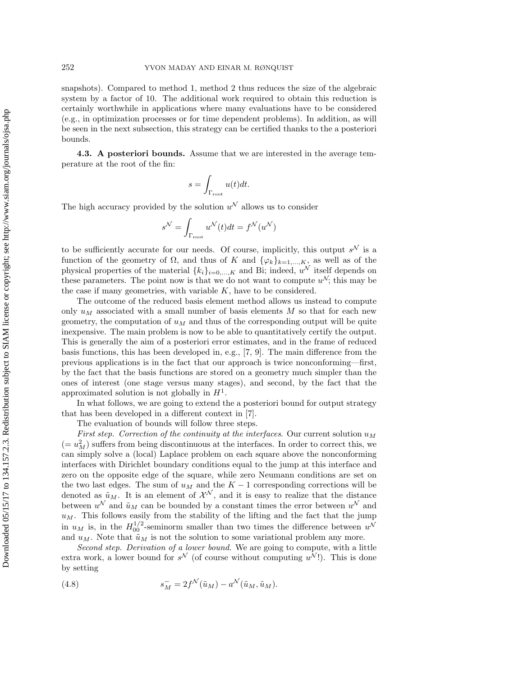snapshots). Compared to method 1, method 2 thus reduces the size of the algebraic system by a factor of 10. The additional work required to obtain this reduction is certainly worthwhile in applications where many evaluations have to be considered (e.g., in optimization processes or for time dependent problems). In addition, as will be seen in the next subsection, this strategy can be certified thanks to the a posteriori bounds.

**4.3. A posteriori bounds.** Assume that we are interested in the average temperature at the root of the fin:

$$
s = \int_{\Gamma_{\text{root}}} u(t) dt.
$$

The high accuracy provided by the solution  $u^{\mathcal{N}}$  allows us to consider

$$
s^{\mathcal{N}} = \int_{\Gamma_{\text{root}}} u^{\mathcal{N}}(t)dt = f^{\mathcal{N}}(u^{\mathcal{N}})
$$

to be sufficiently accurate for our needs. Of course, implicitly, this output  $s^{\mathcal{N}}$  is a function of the geometry of  $\Omega$ , and thus of K and  $\{\varphi_k\}_{k=1,\dots,K}$ , as well as of the physical properties of the material  $\{k_i\}_{i=0,\dots,K}$  and Bi; indeed,  $u^{\mathcal{N}}$  itself depends on these parameters. The point now is that we do not want to compute  $u^{\mathcal{N}}$ ; this may be the case if many geometries, with variable  $K$ , have to be considered.

The outcome of the reduced basis element method allows us instead to compute only  $u_M$  associated with a small number of basis elements M so that for each new geometry, the computation of  $u_M$  and thus of the corresponding output will be quite inexpensive. The main problem is now to be able to quantitatively certify the output. This is generally the aim of a posteriori error estimates, and in the frame of reduced basis functions, this has been developed in, e.g., [7, 9]. The main difference from the previous applications is in the fact that our approach is twice nonconforming—first, by the fact that the basis functions are stored on a geometry much simpler than the ones of interest (one stage versus many stages), and second, by the fact that the approximated solution is not globally in  $H<sup>1</sup>$ .

In what follows, we are going to extend the a posteriori bound for output strategy that has been developed in a different context in [7].

The evaluation of bounds will follow three steps.

First step. Correction of the continuity at the interfaces. Our current solution  $u_M$  $(= u_M^2)$  suffers from being discontinuous at the interfaces. In order to correct this, we can simply solve a (local) Laplace problem on each square above the nonconforming interfaces with Dirichlet boundary conditions equal to the jump at this interface and zero on the opposite edge of the square, while zero Neumann conditions are set on the two last edges. The sum of  $u_M$  and the  $K-1$  corresponding corrections will be denoted as  $\tilde{u}_M$ . It is an element of  $\mathcal{X}^{\mathcal{N}}$ , and it is easy to realize that the distance between  $u^{\mathcal{N}}$  and  $\tilde{u}_M$  can be bounded by a constant times the error between  $u^{\mathcal{N}}$  and  $u_M$ . This follows easily from the stability of the lifting and the fact that the jump in  $u_M$  is, in the  $H_{00}^{1/2}$ -seminorm smaller than two times the difference between  $u^N$ and  $u_M$ . Note that  $\tilde{u}_M$  is not the solution to some variational problem any more.

Second step. Derivation of a lower bound. We are going to compute, with a little extra work, a lower bound for  $s^{\mathcal{N}}$  (of course without computing  $u^{\mathcal{N}}$ !). This is done by setting

(4.8) 
$$
s_M^- = 2f^N(\tilde{u}_M) - a^N(\tilde{u}_M, \tilde{u}_M).
$$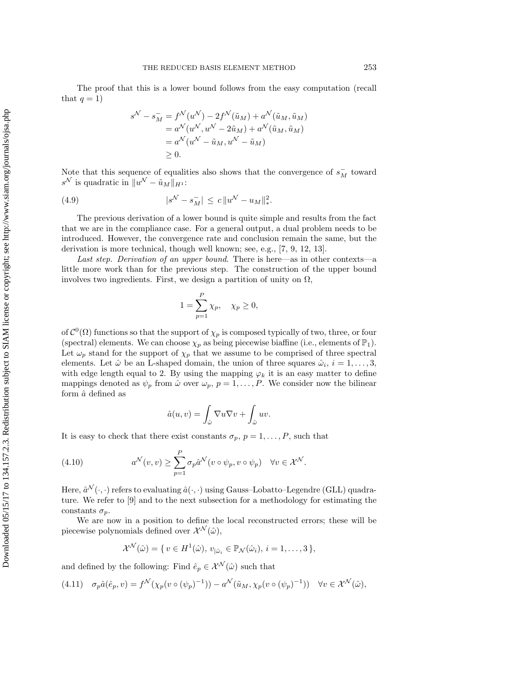The proof that this is a lower bound follows from the easy computation (recall that  $q = 1$ )

$$
s^{\mathcal{N}} - s_M^- = f^{\mathcal{N}}(u^{\mathcal{N}}) - 2f^{\mathcal{N}}(\tilde{u}_M) + a^{\mathcal{N}}(\tilde{u}_M, \tilde{u}_M)
$$
  
=  $a^{\mathcal{N}}(u^{\mathcal{N}}, u^{\mathcal{N}} - 2\tilde{u}_M) + a^{\mathcal{N}}(\tilde{u}_M, \tilde{u}_M)$   
=  $a^{\mathcal{N}}(u^{\mathcal{N}} - \tilde{u}_M, u^{\mathcal{N}} - \tilde{u}_M)$   
 $\geq 0.$ 

Note that this sequence of equalities also shows that the convergence of  $s_M^-$  toward s<sup>N</sup> is quadratic in  $||u^{\mathcal{N}} - \tilde{u}_M||_{H^1}$ :

(4.9) 
$$
|s^{\mathcal{N}} - s_M^-| \leq c \|u^{\mathcal{N}} - u_M\|_*^2.
$$

The previous derivation of a lower bound is quite simple and results from the fact that we are in the compliance case. For a general output, a dual problem needs to be introduced. However, the convergence rate and conclusion remain the same, but the derivation is more technical, though well known; see, e.g., [7, 9, 12, 13].

Last step. Derivation of an upper bound. There is here—as in other contexts—a little more work than for the previous step. The construction of the upper bound involves two ingredients. First, we design a partition of unity on  $\Omega$ ,

$$
1 = \sum_{p=1}^{P} \chi_p, \quad \chi_p \ge 0,
$$

of  $\mathcal{C}^0(\Omega)$  functions so that the support of  $\chi_p$  is composed typically of two, three, or four (spectral) elements. We can choose  $\chi_p$  as being piecewise biaffine (i.e., elements of  $\mathbb{P}_1$ ). Let  $\omega_p$  stand for the support of  $\chi_p$  that we assume to be comprised of three spectral elements. Let  $\hat{\omega}$  be an L-shaped domain, the union of three squares  $\hat{\omega}_i$ ,  $i = 1, \ldots, 3$ , with edge length equal to 2. By using the mapping  $\varphi_k$  it is an easy matter to define mappings denoted as  $\psi_p$  from  $\hat{\omega}$  over  $\omega_p$ ,  $p = 1, \ldots, P$ . We consider now the bilinear form  $\hat{a}$  defined as

$$
\hat{a}(u,v) = \int_{\hat{\omega}} \nabla u \nabla v + \int_{\hat{\omega}} uv.
$$

It is easy to check that there exist constants  $\sigma_p$ ,  $p = 1, \ldots, P$ , such that

(4.10) 
$$
a^{\mathcal{N}}(v,v) \geq \sum_{p=1}^{P} \sigma_p \hat{a}^{\mathcal{N}}(v \circ \psi_p, v \circ \psi_p) \quad \forall v \in \mathcal{X}^{\mathcal{N}}.
$$

Here,  $\hat{a}^{\mathcal{N}}(\cdot,\cdot)$  refers to evaluating  $\hat{a}(\cdot,\cdot)$  using Gauss-Lobatto-Legendre (GLL) quadrature. We refer to [9] and to the next subsection for a methodology for estimating the constants  $\sigma_p$ .

We are now in a position to define the local reconstructed errors; these will be piecewise polynomials defined over  $\mathcal{X}^{\mathcal{N}}(\hat{\omega})$ ,

$$
\mathcal{X}^{\mathcal{N}}(\hat{\omega}) = \{ v \in H^{1}(\hat{\omega}), v_{|\hat{\omega}_i} \in \mathbb{P}_{\mathcal{N}}(\hat{\omega}_i), i = 1, \ldots, 3 \},\
$$

and defined by the following: Find  $\hat{e}_p \in \mathcal{X}^{\mathcal{N}}(\hat{\omega})$  such that

$$
(4.11) \quad \sigma_p \hat{a}(\hat{e}_p, v) = f^{\mathcal{N}}(\chi_p(v \circ (\psi_p)^{-1})) - a^{\mathcal{N}}(\tilde{u}_M, \chi_p(v \circ (\psi_p)^{-1})) \quad \forall v \in \mathcal{X}^{\mathcal{N}}(\hat{\omega}),
$$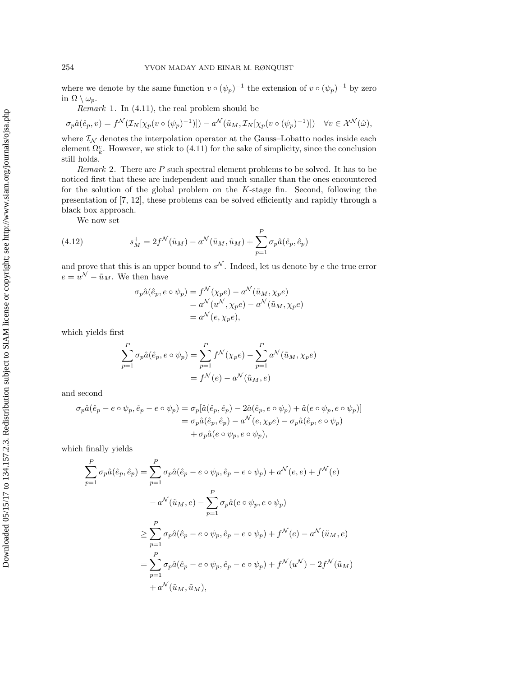where we denote by the same function  $v \circ (\psi_p)^{-1}$  the extension of  $v \circ (\psi_p)^{-1}$  by zero in  $\Omega \setminus \omega_p$ .

Remark 1. In (4.11), the real problem should be

$$
\sigma_p \hat{a}(\hat{e}_p, v) = f^{\mathcal{N}}(\mathcal{I}_N[\chi_p(v \circ (\psi_p)^{-1})]) - a^{\mathcal{N}}(\tilde{u}_M, \mathcal{I}_N[\chi_p(v \circ (\psi_p)^{-1})]) \quad \forall v \in \mathcal{X}^{\mathcal{N}}(\hat{\omega}),
$$

where  $\mathcal{I}_{\mathcal{N}}$  denotes the interpolation operator at the Gauss–Lobatto nodes inside each element  $\Omega_k^e$ . However, we stick to (4.11) for the sake of simplicity, since the conclusion still holds.

*Remark* 2. There are  $P$  such spectral element problems to be solved. It has to be noticed first that these are independent and much smaller than the ones encountered for the solution of the global problem on the K-stage fin. Second, following the presentation of [7, 12], these problems can be solved efficiently and rapidly through a black box approach.

We now set

(4.12) 
$$
s_M^+ = 2f^{\mathcal{N}}(\tilde{u}_M) - a^{\mathcal{N}}(\tilde{u}_M, \tilde{u}_M) + \sum_{p=1}^P \sigma_p \hat{a}(\hat{e}_p, \hat{e}_p)
$$

and prove that this is an upper bound to  $s^{\mathcal{N}}$ . Indeed, let us denote by  $e$  the true error  $e = u^{\mathcal{N}} - \tilde{u}_M$ . We then have

$$
\sigma_p \hat{a}(\hat{e}_p, e \circ \psi_p) = f^{\mathcal{N}}(\chi_p e) - a^{\mathcal{N}}(\tilde{u}_M, \chi_p e)
$$
  
=  $a^{\mathcal{N}}(u^{\mathcal{N}}, \chi_p e) - a^{\mathcal{N}}(\tilde{u}_M, \chi_p e)$   
=  $a^{\mathcal{N}}(e, \chi_p e),$ 

which yields first

$$
\sum_{p=1}^{P} \sigma_p \hat{a}(\hat{e}_p, e \circ \psi_p) = \sum_{p=1}^{P} f^{\mathcal{N}}(\chi_p e) - \sum_{p=1}^{P} a^{\mathcal{N}}(\tilde{u}_M, \chi_p e)
$$

$$
= f^{\mathcal{N}}(e) - a^{\mathcal{N}}(\tilde{u}_M, e)
$$

and second

$$
\sigma_p \hat{a}(\hat{e}_p - e \circ \psi_p, \hat{e}_p - e \circ \psi_p) = \sigma_p [\hat{a}(\hat{e}_p, \hat{e}_p) - 2\hat{a}(\hat{e}_p, e \circ \psi_p) + \hat{a}(e \circ \psi_p, e \circ \psi_p)]
$$
  
= 
$$
\sigma_p \hat{a}(\hat{e}_p, \hat{e}_p) - a^{\mathcal{N}}(e, \chi_p e) - \sigma_p \hat{a}(\hat{e}_p, e \circ \psi_p)
$$
  
+ 
$$
\sigma_p \hat{a}(e \circ \psi_p, e \circ \psi_p),
$$

which finally yields

$$
\sum_{p=1}^{P} \sigma_p \hat{a}(\hat{e}_p, \hat{e}_p) = \sum_{p=1}^{P} \sigma_p \hat{a}(\hat{e}_p - e \circ \psi_p, \hat{e}_p - e \circ \psi_p) + a^{\mathcal{N}}(e, e) + f^{\mathcal{N}}(e)
$$

$$
- a^{\mathcal{N}}(\tilde{u}_M, e) - \sum_{p=1}^{P} \sigma_p \hat{a}(e \circ \psi_p, e \circ \psi_p)
$$

$$
\geq \sum_{p=1}^{P} \sigma_p \hat{a}(\hat{e}_p - e \circ \psi_p, \hat{e}_p - e \circ \psi_p) + f^{\mathcal{N}}(e) - a^{\mathcal{N}}(\tilde{u}_M, e)
$$

$$
= \sum_{p=1}^{P} \sigma_p \hat{a}(\hat{e}_p - e \circ \psi_p, \hat{e}_p - e \circ \psi_p) + f^{\mathcal{N}}(u^{\mathcal{N}}) - 2f^{\mathcal{N}}(\tilde{u}_M)
$$

$$
+ a^{\mathcal{N}}(\tilde{u}_M, \tilde{u}_M),
$$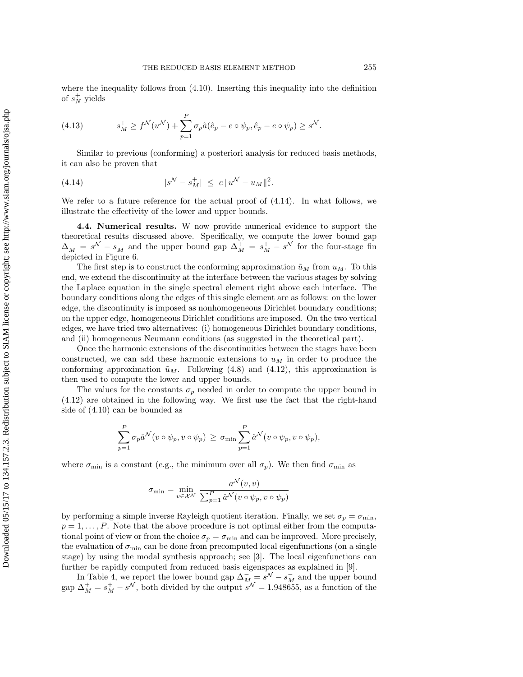where the inequality follows from  $(4.10)$ . Inserting this inequality into the definition of  $s_N^+$  yields

(4.13) 
$$
s_M^+ \ge f^{\mathcal{N}}(u^{\mathcal{N}}) + \sum_{p=1}^P \sigma_p \hat{a} (\hat{e}_p - e \circ \psi_p, \hat{e}_p - e \circ \psi_p) \ge s^{\mathcal{N}}.
$$

Similar to previous (conforming) a posteriori analysis for reduced basis methods, it can also be proven that

(4.14) 
$$
|s^{\mathcal{N}} - s_M^+| \leq c \|u^{\mathcal{N}} - u_M\|_*^2.
$$

We refer to a future reference for the actual proof of  $(4.14)$ . In what follows, we illustrate the effectivity of the lower and upper bounds.

**4.4. Numerical results.** W now provide numerical evidence to support the theoretical results discussed above. Specifically, we compute the lower bound gap  $\Delta_M^- = s^{\mathcal{N}} - s_M^-$  and the upper bound gap  $\Delta_M^+ = s_M^+ - s^{\mathcal{N}}$  for the four-stage fin depicted in Figure 6.

The first step is to construct the conforming approximation  $\tilde{u}_M$  from  $u_M$ . To this end, we extend the discontinuity at the interface between the various stages by solving the Laplace equation in the single spectral element right above each interface. The boundary conditions along the edges of this single element are as follows: on the lower edge, the discontinuity is imposed as nonhomogeneous Dirichlet boundary conditions; on the upper edge, homogeneous Dirichlet conditions are imposed. On the two vertical edges, we have tried two alternatives: (i) homogeneous Dirichlet boundary conditions, and (ii) homogeneous Neumann conditions (as suggested in the theoretical part).

Once the harmonic extensions of the discontinuities between the stages have been constructed, we can add these harmonic extensions to  $u_M$  in order to produce the conforming approximation  $\tilde{u}_M$ . Following (4.8) and (4.12), this approximation is then used to compute the lower and upper bounds.

The values for the constants  $\sigma_p$  needed in order to compute the upper bound in (4.12) are obtained in the following way. We first use the fact that the right-hand side of (4.10) can be bounded as

$$
\sum_{p=1}^{P} \sigma_p \hat{a}^{\mathcal{N}}(v \circ \psi_p, v \circ \psi_p) \geq \sigma_{\min} \sum_{p=1}^{P} \hat{a}^{\mathcal{N}}(v \circ \psi_p, v \circ \psi_p),
$$

where  $\sigma_{\min}$  is a constant (e.g., the minimum over all  $\sigma_p$ ). We then find  $\sigma_{\min}$  as

$$
\sigma_{\min} = \min_{v \in \mathcal{X}^{\mathcal{N}}} \frac{a^{\mathcal{N}}(v, v)}{\sum_{p=1}^{P} \hat{a}^{\mathcal{N}}(v \circ \psi_p, v \circ \psi_p)}
$$

by performing a simple inverse Rayleigh quotient iteration. Finally, we set  $\sigma_p = \sigma_{\min}$ ,  $p = 1, \ldots, P$ . Note that the above procedure is not optimal either from the computational point of view or from the choice  $\sigma_p = \sigma_{\min}$  and can be improved. More precisely, the evaluation of  $\sigma_{\min}$  can be done from precomputed local eigenfunctions (on a single stage) by using the modal synthesis approach; see [3]. The local eigenfunctions can further be rapidly computed from reduced basis eigenspaces as explained in [9].

In Table 4, we report the lower bound gap  $\Delta_{M,\epsilon}^- = s^{\mathcal{N}} - s_M^-$  and the upper bound gap  $\Delta_M^+ = s_M^+ - s^{\mathcal{N}},$  both divided by the output  $s^{\mathcal{N}} = 1.948655$ , as a function of the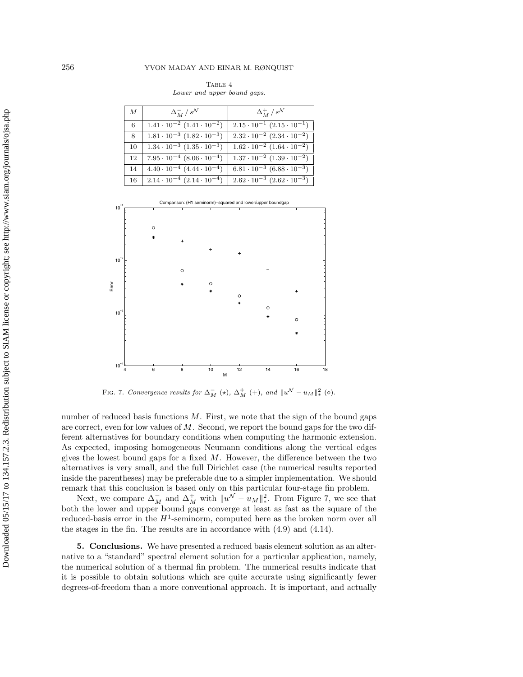TABLE 4 Lower and upper bound gaps.

| $\boldsymbol{M}$ | $\Delta_M^-$ / $s^{\mathcal{N}}$            | $\Delta_M^+$ / $s^{\mathcal{N}}$            |
|------------------|---------------------------------------------|---------------------------------------------|
| -6               | $1.41 \cdot 10^{-2} (1.41 \cdot 10^{-2})$   | $2.15 \cdot 10^{-1} (2.15 \cdot 10^{-1})$   |
| 8                | $1.81 \cdot 10^{-3} (1.82 \cdot 10^{-3})$   | $2.32 \cdot 10^{-2}$ $(2.34 \cdot 10^{-2})$ |
| 10               | $1.34 \cdot 10^{-3} (1.35 \cdot 10^{-3})$   | $1.62 \cdot 10^{-2}$ $(1.64 \cdot 10^{-2})$ |
| 12               | $7.95 \cdot 10^{-4} (8.06 \cdot 10^{-4})$   | $1.37 \cdot 10^{-2}$ $(1.39 \cdot 10^{-2})$ |
| 14               | $4.40 \cdot 10^{-4}$ $(4.44 \cdot 10^{-4})$ | $6.81 \cdot 10^{-3} (6.88 \cdot 10^{-3})$   |
| 16               | $2.14 \cdot 10^{-4} (2.14 \cdot 10^{-4})$   | $2.62 \cdot 10^{-3} (2.62 \cdot 10^{-3})$   |



FIG. 7. Convergence results for  $\Delta_M^-\$  (\*),  $\Delta_M^+$  (+), and  $||u^{\mathcal{N}} - u_M||_*^2$  ( $\circ$ ).

number of reduced basis functions  $M$ . First, we note that the sign of the bound gaps are correct, even for low values of  $M$ . Second, we report the bound gaps for the two different alternatives for boundary conditions when computing the harmonic extension. As expected, imposing homogeneous Neumann conditions along the vertical edges gives the lowest bound gaps for a fixed  $M$ . However, the difference between the two alternatives is very small, and the full Dirichlet case (the numerical results reported inside the parentheses) may be preferable due to a simpler implementation. We should remark that this conclusion is based only on this particular four-stage fin problem.

Next, we compare  $\Delta_M^-$  and  $\Delta_M^+$  with  $||u^{\mathcal{N}} - u_M||_*^2$ . From Figure 7, we see that both the lower and upper bound gaps converge at least as fast as the square of the reduced-basis error in the  $H^1$ -seminorm, computed here as the broken norm over all the stages in the fin. The results are in accordance with (4.9) and (4.14).

**5. Conclusions.** We have presented a reduced basis element solution as an alternative to a "standard" spectral element solution for a particular application, namely, the numerical solution of a thermal fin problem. The numerical results indicate that it is possible to obtain solutions which are quite accurate using significantly fewer degrees-of-freedom than a more conventional approach. It is important, and actually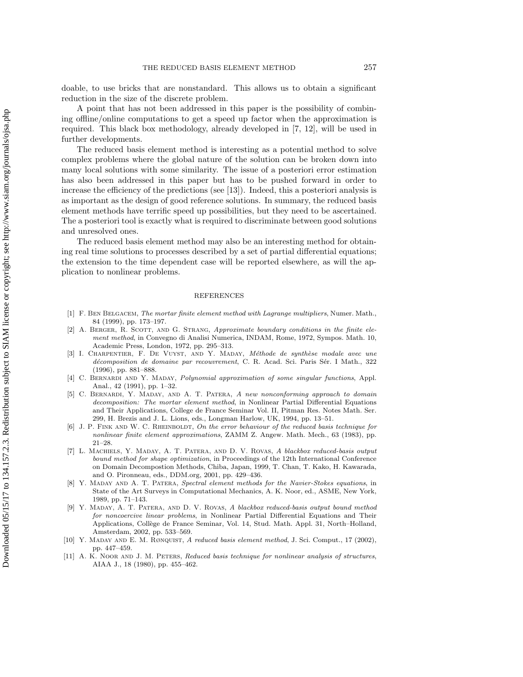doable, to use bricks that are nonstandard. This allows us to obtain a significant reduction in the size of the discrete problem.

A point that has not been addressed in this paper is the possibility of combining offline/online computations to get a speed up factor when the approximation is required. This black box methodology, already developed in [7, 12], will be used in further developments.

The reduced basis element method is interesting as a potential method to solve complex problems where the global nature of the solution can be broken down into many local solutions with some similarity. The issue of a posteriori error estimation has also been addressed in this paper but has to be pushed forward in order to increase the efficiency of the predictions (see [13]). Indeed, this a posteriori analysis is as important as the design of good reference solutions. In summary, the reduced basis element methods have terrific speed up possibilities, but they need to be ascertained. The a posteriori tool is exactly what is required to discriminate between good solutions and unresolved ones.

The reduced basis element method may also be an interesting method for obtaining real time solutions to processes described by a set of partial differential equations; the extension to the time dependent case will be reported elsewhere, as will the application to nonlinear problems.

## REFERENCES

- [1] F. BEN BELGACEM, The mortar finite element method with Lagrange multipliers, Numer. Math., 84 (1999), pp. 173–197.
- [2] A. BERGER, R. SCOTT, AND G. STRANG, Approximate boundary conditions in the finite element method, in Convegno di Analisi Numerica, INDAM, Rome, 1972, Sympos. Math. 10, Academic Press, London, 1972, pp. 295–313.
- [3] I. CHARPENTIER, F. DE VUYST, AND Y. MADAY, Méthode de synthèse modale avec une décomposition de domaine par recouvrement, C. R. Acad. Sci. Paris Sér. I Math., 322 (1996), pp. 881–888.
- [4] C. BERNARDI AND Y. MADAY, *Polynomial approximation of some singular functions*, Appl. Anal., 42 (1991), pp. 1–32.
- [5] C. Bernardi, Y. Maday, and A. T. Patera, A new nonconforming approach to domain decomposition: The mortar element method, in Nonlinear Partial Differential Equations and Their Applications, College de France Seminar Vol. II, Pitman Res. Notes Math. Ser. 299, H. Brezis and J. L. Lions, eds., Longman Harlow, UK, 1994, pp. 13–51.
- [6] J. P. FINK AND W. C. RHEINBOLDT, On the error behaviour of the reduced basis technique for nonlinear finite element approximations, ZAMM Z. Angew. Math. Mech., 63 (1983), pp. 21–28.
- [7] L. Machiels, Y. Maday, A. T. Patera, and D. V. Rovas, A blackbox reduced-basis output bound method for shape optimization, in Proceedings of the 12th International Conference on Domain Decompostion Methods, Chiba, Japan, 1999, T. Chan, T. Kako, H. Kawarada, and O. Pironneau, eds., DDM.org, 2001, pp. 429–436.
- [8] Y. MADAY AND A. T. PATERA, Spectral element methods for the Navier-Stokes equations, in State of the Art Surveys in Computational Mechanics, A. K. Noor, ed., ASME, New York, 1989, pp. 71–143.
- [9] Y. Maday, A. T. Patera, and D. V. Rovas, A blackbox reduced-basis output bound method for noncoercive linear problems, in Nonlinear Partial Differential Equations and Their Applications, Coll`ege de France Seminar, Vol. 14, Stud. Math. Appl. 31, North–Holland, Amsterdam, 2002, pp. 533–569.
- [10] Y. MADAY AND E. M. RØNQUIST, A reduced basis element method, J. Sci. Comput., 17 (2002), pp. 447–459.
- [11] A. K. NOOR AND J. M. PETERS, Reduced basis technique for nonlinear analysis of structures, AIAA J., 18 (1980), pp. 455–462.